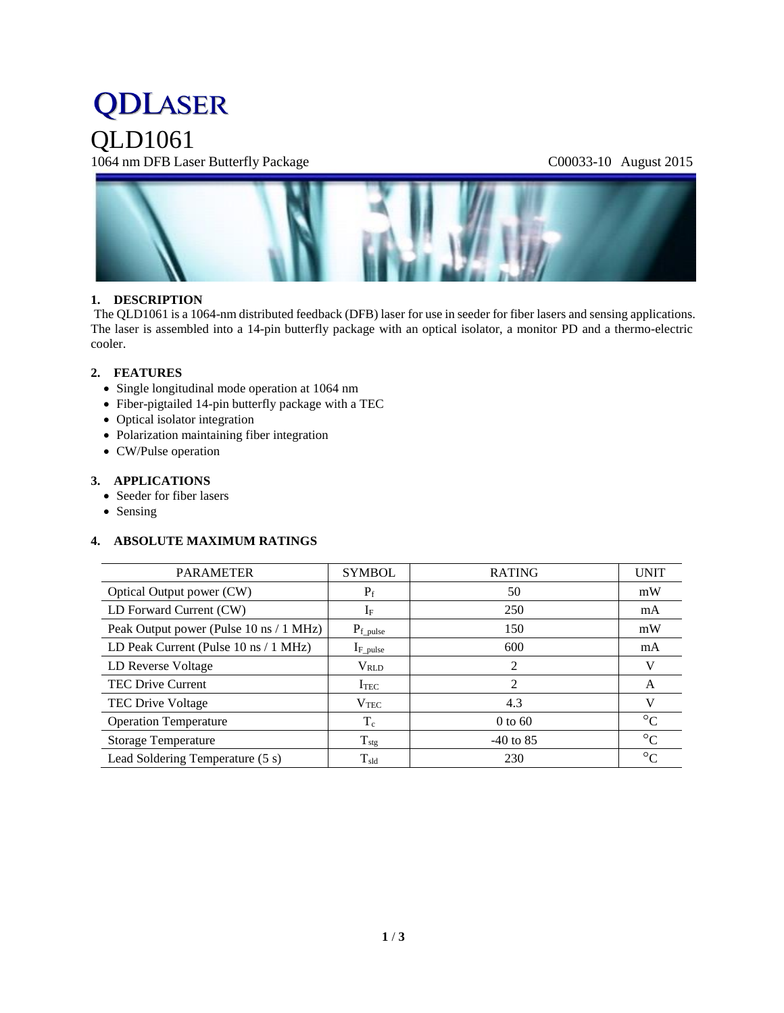# **QDLASER**

QLD1061

1064 nm DFB Laser Butterfly Package C00033-10 August 2015



#### **1. DESCRIPTION**

The QLD1061 is a 1064-nm distributed feedback (DFB) laser for use in seeder for fiber lasers and sensing applications. The laser is assembled into a 14-pin butterfly package with an optical isolator, a monitor PD and a thermo-electric cooler.

#### **2. FEATURES**

- Single longitudinal mode operation at 1064 nm
- Fiber-pigtailed 14-pin butterfly package with a TEC
- Optical isolator integration
- Polarization maintaining fiber integration
- CW/Pulse operation

#### **3. APPLICATIONS**

- Seeder for fiber lasers
- Sensing

#### **4. ABSOLUTE MAXIMUM RATINGS**

| <b>PARAMETER</b>                                         | <b>SYMBOL</b>    | <b>RATING</b> | <b>UNIT</b>     |
|----------------------------------------------------------|------------------|---------------|-----------------|
| Optical Output power (CW)                                | $P_f$            | 50            | mW              |
| LD Forward Current (CW)                                  | $I_F$            | 250           | mA              |
| Peak Output power (Pulse 10 ns / 1 MHz)                  | $P_{f\_pulse}$   | 150           | mW              |
| LD Peak Current (Pulse $10 \text{ ns} / 1 \text{ MHz}$ ) | $I_{F\_pulse}$   | 600           | mA              |
| LD Reverse Voltage                                       | $\rm V_{RLD}$    | 2             | V               |
| <b>TEC Drive Current</b>                                 | I <sub>TEC</sub> | 2             | A               |
| <b>TEC Drive Voltage</b>                                 | $V_{\rm TEC}$    | 4.3           | V               |
| <b>Operation Temperature</b>                             | $T_c$            | $0$ to 60     | $\rm ^{\circ}C$ |
| <b>Storage Temperature</b>                               | $T_{\text{stg}}$ | $-40$ to 85   | $^{\circ}C$     |
| Lead Soldering Temperature (5 s)                         | $T_{\rm sld}$    | 230           | $\rm ^{\circ}C$ |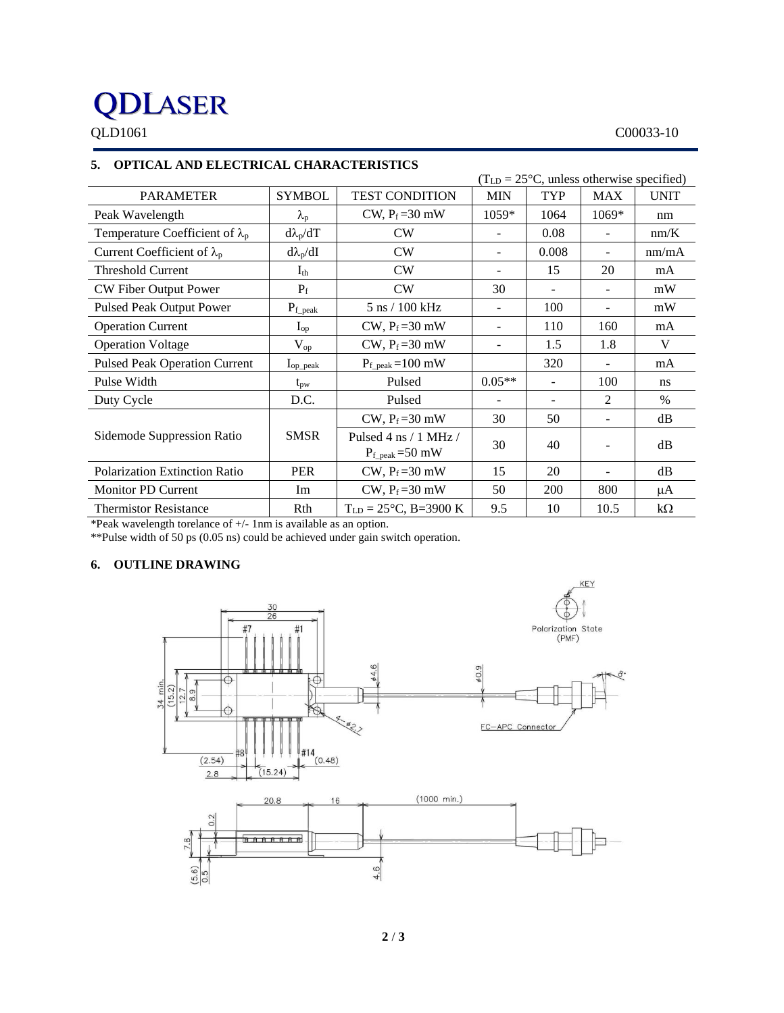## **QDLASER**

#### QLD1061 C00033-10

### **5. OPTICAL AND ELECTRICAL CHARACTERISTICS**

|                                        | $(TLD = 25oC, unless otherwise specified)$ |                                                                  |                          |            |                          |               |
|----------------------------------------|--------------------------------------------|------------------------------------------------------------------|--------------------------|------------|--------------------------|---------------|
| <b>PARAMETER</b>                       | <b>SYMBOL</b>                              | <b>TEST CONDITION</b>                                            | <b>MIN</b>               | TYP        | <b>MAX</b>               | <b>UNIT</b>   |
| Peak Wavelength                        | $\lambda_{\rm p}$                          | CW, $P_f = 30$ mW                                                | 1059*                    | 1064       | 1069*                    | nm            |
| Temperature Coefficient of $\lambda_p$ | $d\lambda_p/dT$                            | CW                                                               |                          | 0.08       |                          | nm/K          |
| Current Coefficient of $\lambda_p$     | $d\lambda_p/dI$                            | CW                                                               | $\overline{\phantom{a}}$ | 0.008      |                          | nm/mA         |
| <b>Threshold Current</b>               | $\mathrm{I}_{\mathrm{th}}$                 | CW                                                               | $\overline{\phantom{a}}$ | 15         | 20                       | mA            |
| CW Fiber Output Power                  | $P_f$                                      | CW                                                               | 30                       |            | $\overline{\phantom{a}}$ | mW            |
| <b>Pulsed Peak Output Power</b>        | $P_{\rm f\_peak}$                          | 5 ns / 100 kHz                                                   | $\overline{\phantom{a}}$ | 100        | $\overline{\phantom{a}}$ | mW            |
| <b>Operation Current</b>               | $I_{op}$                                   | $CW$ , $P_f = 30$ mW                                             | $\overline{\phantom{a}}$ | 110        | 160                      | mA            |
| <b>Operation Voltage</b>               | $V_{op}$                                   | CW, $P_f = 30$ mW                                                |                          | 1.5        | 1.8                      | V             |
| <b>Pulsed Peak Operation Current</b>   | $I_{op\_peak}$                             | $P_{f_{\text{.peak}}}=100 \text{ mW}$                            |                          | 320        |                          | mA            |
| Pulse Width                            | $t_{\rm pw}$                               | Pulsed                                                           | $0.05**$                 |            | 100                      | ns            |
| Duty Cycle                             | D.C.                                       | Pulsed                                                           |                          |            | $\overline{2}$           | $\frac{0}{0}$ |
|                                        | <b>SMSR</b>                                | CW, $P_f = 30$ mW                                                | 30                       | 50         |                          | dB            |
| Sidemode Suppression Ratio             |                                            | Pulsed 4 ns $/1$ MHz $/$<br>$P_{f_{\text{-peak}}}=50 \text{ mW}$ | 30                       | 40         |                          | dB            |
| Polarization Extinction Ratio          | <b>PER</b>                                 | CW, $P_f = 30$ mW                                                | 15                       | 20         |                          | dB            |
| Monitor PD Current                     | Im                                         | CW, $P_f = 30$ mW                                                | 50                       | <b>200</b> | 800                      | μA            |
| <b>Thermistor Resistance</b>           | Rth                                        | $T_{LD} = 25^{\circ}C$ , B=3900 K                                | 9.5                      | 10         | 10.5                     | $k\Omega$     |

\*Peak wavelength torelance of +/- 1nm is available as an option.

\*\*Pulse width of 50 ps (0.05 ns) could be achieved under gain switch operation.

#### **6. OUTLINE DRAWING**